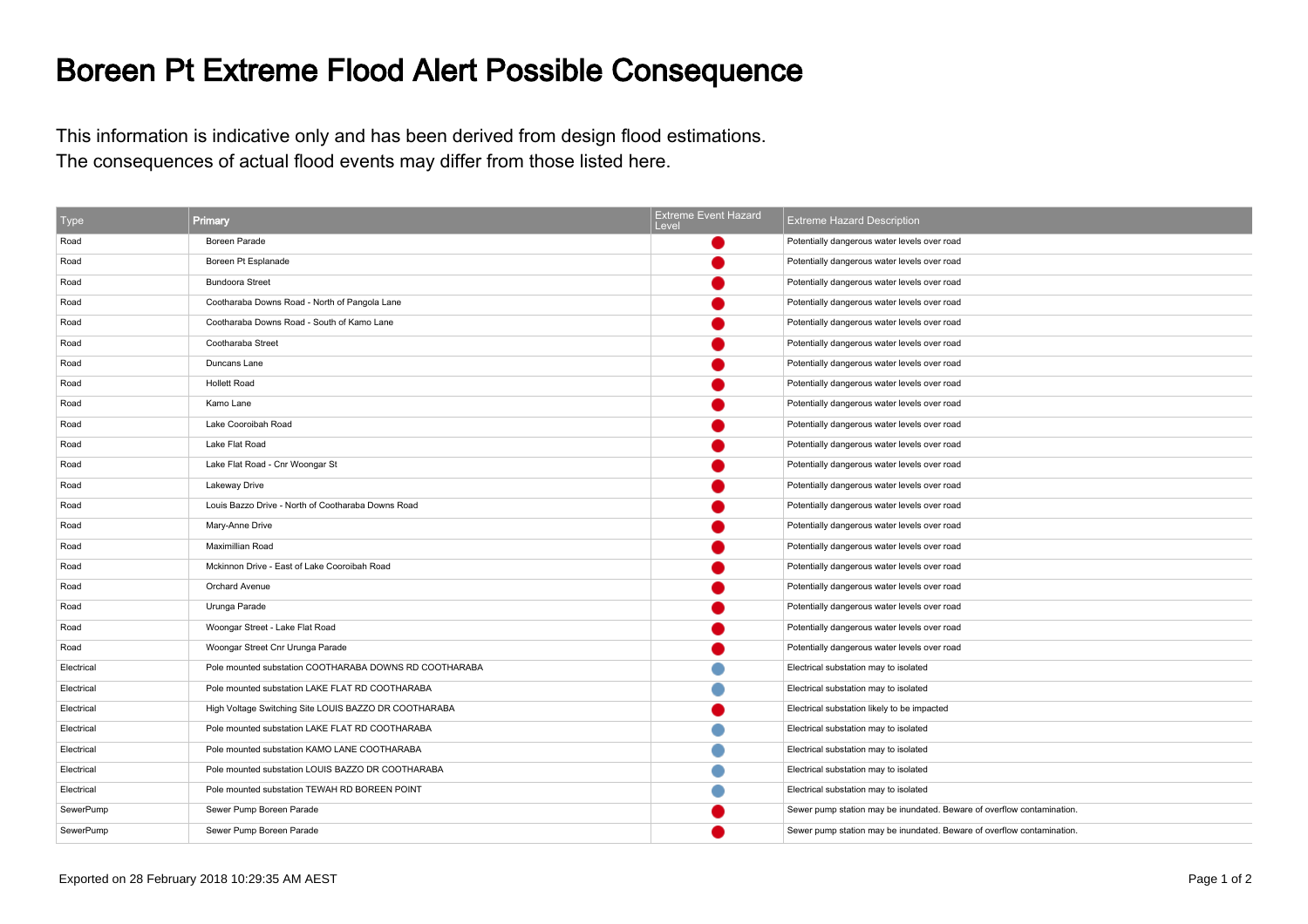## Boreen Pt Extreme Flood Alert Possible Consequence

This information is indicative only and has been derived from design flood estimations.The consequences of actual flood events may differ from those listed here.

| Type       | Primary                                                | <b>Extreme Event Hazard</b><br>Level. | <b>Extreme Hazard Description</b>                                      |
|------------|--------------------------------------------------------|---------------------------------------|------------------------------------------------------------------------|
| Road       | Boreen Parade                                          |                                       | Potentially dangerous water levels over road                           |
| Road       | Boreen Pt Esplanade                                    |                                       | Potentially dangerous water levels over road                           |
| Road       | <b>Bundoora Street</b>                                 |                                       | Potentially dangerous water levels over road                           |
| Road       | Cootharaba Downs Road - North of Pangola Lane          |                                       | Potentially dangerous water levels over road                           |
| Road       | Cootharaba Downs Road - South of Kamo Lane             |                                       | Potentially dangerous water levels over road                           |
| Road       | Cootharaba Street                                      |                                       | Potentially dangerous water levels over road                           |
| Road       | Duncans Lane                                           |                                       | Potentially dangerous water levels over road                           |
| Road       | <b>Hollett Road</b>                                    |                                       | Potentially dangerous water levels over road                           |
| Road       | Kamo Lane                                              |                                       | Potentially dangerous water levels over road                           |
| Road       | Lake Cooroibah Road                                    |                                       | Potentially dangerous water levels over road                           |
| Road       | Lake Flat Road                                         |                                       | Potentially dangerous water levels over road                           |
| Road       | Lake Flat Road - Cnr Woongar St                        |                                       | Potentially dangerous water levels over road                           |
| Road       | Lakeway Drive                                          |                                       | Potentially dangerous water levels over road                           |
| Road       | Louis Bazzo Drive - North of Cootharaba Downs Road     |                                       | Potentially dangerous water levels over road                           |
| Road       | Mary-Anne Drive                                        |                                       | Potentially dangerous water levels over road                           |
| Road       | <b>Maximillian Road</b>                                |                                       | Potentially dangerous water levels over road                           |
| Road       | Mckinnon Drive - East of Lake Cooroibah Road           |                                       | Potentially dangerous water levels over road                           |
| Road       | Orchard Avenue                                         |                                       | Potentially dangerous water levels over road                           |
| Road       | Urunga Parade                                          |                                       | Potentially dangerous water levels over road                           |
| Road       | Woongar Street - Lake Flat Road                        |                                       | Potentially dangerous water levels over road                           |
| Road       | Woongar Street Cnr Urunga Parade                       |                                       | Potentially dangerous water levels over road                           |
| Electrical | Pole mounted substation COOTHARABA DOWNS RD COOTHARABA |                                       | Electrical substation may to isolated                                  |
| Electrical | Pole mounted substation LAKE FLAT RD COOTHARABA        |                                       | Electrical substation may to isolated                                  |
| Electrical | High Voltage Switching Site LOUIS BAZZO DR COOTHARABA  |                                       | Electrical substation likely to be impacted                            |
| Electrical | Pole mounted substation LAKE FLAT RD COOTHARABA        |                                       | Electrical substation may to isolated                                  |
| Electrical | Pole mounted substation KAMO LANE COOTHARABA           |                                       | Electrical substation may to isolated                                  |
| Electrical | Pole mounted substation LOUIS BAZZO DR COOTHARABA      |                                       | Electrical substation may to isolated                                  |
| Electrical | Pole mounted substation TEWAH RD BOREEN POINT          |                                       | Electrical substation may to isolated                                  |
| SewerPump  | Sewer Pump Boreen Parade                               |                                       | Sewer pump station may be inundated. Beware of overflow contamination. |
| SewerPump  | Sewer Pump Boreen Parade                               |                                       | Sewer pump station may be inundated. Beware of overflow contamination  |